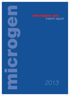

# microgen plc<br>interim report

*2013*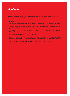# *Highlights*

Microgen, the software and services provider, reports unaudited results for the six months ended 30 June 2013.

#### **Highlights**

- **.** Satisfactory performance with good operating margins and high recurring revenues.
- **Microgen Aptitude Solutions Division annual software licence and recurring revenue** growth of 10%.
- l Operating margins increased to 30% (H1, 2012: 26%). Operating profit maintained at £4.4 million.
- $\bullet$  Basic EPS 4.2 pence (H1, 2012: 4.2 pence).
- **.** Strong balance sheet with net cash at 30 June 2013 of £26.8 million (H1, 2012: £27.1 million) after returning £7.2 million of cash to shareholders in the last twelve months.
- **.** Interim dividend of 1.1 pence per share (2012: 1.1 pence per share).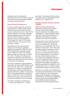Microgen reports a satisfactory performance for the six months ended 30 June 2013 with good operating margins and high recurring revenues.

#### *Group Financial Performance*

In the six months ended 30 June 2013, the proportion of higher margin annual software licences and other recurring revenue continued to grow in line with the Board's objective. As a result, Microgen reports operating profit in line with the first half of 2012 despite an overall decline in revenue, as anticipated, to £14.9 million (H1, 2012: £17.0 million), of which 67% (H1, 2012: 59%) is now recurring in nature.

Benefitting from the improvement in revenue mix the Group's operating margin has increased to 30% (H1, 2012: 26%) representing an operating profit of £4.4 million (H1, 2012: £4.4 million). Basic earnings per share was 4.2 pence (H1, 2012: 4.2 pence). The Board has continued to determine that all internal research and development costs incurred in the period are expensed.

The Group maintains its strong balance sheet with net funds of £26.8 million at 30 June 2013 (H1, 2012: £27.1 million) after returning £7.2 million to shareholders in the last twelve months via ordinary and special dividends in addition to share buy backs. Cash generated from operations was £1.4 million (H1, 2012: £2.9 million) following very strong cash collections at the year end related to licence renewals.

The interim dividend is maintained at 1.1 pence per share (2012: 1.1 pence per share). The dividend will be paid on 23 August 2013 to shareholders on the register as at 2 August 2013.

#### *Microgen Aptitude Solutions Division ("MASD")*

MASD provides enterprise level application products and solutions to some of the world's largest financial institutions and digital media organisations, where customers require very high volume (often referred to as "Big Data") processing of complex, business event-driven transactions.

Revenue from annual software licences and other recurring revenue grew by 10% to £4.0 million (H1, 2012: £3.6 million) and now represents 54% of the Division's revenue (H1, 2012: 40%) with operating margins increasing to 20.4% (H1, 2012: 19.5%). As a result of the growth in recurring revenues, offset by the anticipated decline in consultancy revenue, total Divisional revenue of £7.4 million was marginally up from H2 2012 (£7.3 million) but below H1 2012 revenue of £9.0 million. As would be expected at this stage of the year, the Board's expectations for MASD for 2013 are dependent upon a number of sales opportunities closing in the second half.

Modules for Liquidity and Profitability are now being demonstrated and new market sectors continue to be pursued with opportunities developing in Healthcare and Telecoms, as well as the established sectors of Finance and Digital Media. in both EMEA and North America. Discussions are also progressing with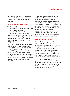both existing and potential new partners to develop further the Division's channel strategy through established global suppliers.

#### *Financial Systems Division ("FSD")*

The Financial Systems Division has a well-established customer base with 78% (H1, 2012: 74%) of Divisional revenue being derived from its core financial systems offerings which are primarily focussed on the wealth management and banking sectors. Reflecting the market maturity of the Division, the recurring revenues account for 80% (H1, 2012: 80%) of Divisional turnover.

Core financial systems reported revenue of £5.9 million (H1, 2012: £5.9 million) including £4.7 million of recurring revenue which is consistent with H1 2012. Overall FSD reported revenue of £7.6 million (H1, 2012: £8.0 million) with the decline attributable, as anticipated, to the reduction in non-core activities to £1.7 million (H1, 2012: £2.1 million). Operating margins have increased to 54% (H1, 2012: 50%).

The Division's 5Series trust and fund software continues to make good progress. In the period a number of new customers contracted for 5Series, demonstrating the market leading functionality of the software following the product development investment made in recent years. In parallel, the Division continues to review the viability of a number of its smaller product offerings and non-core activities with a view to optimising profit contribution as these business lines approach end-of-life.

#### *Strategic Review Update*

In May 2013, having achieved the milestone of returning cash to shareholders equivalent to 100% of the Group's market capitalisation in October 2008, the Board announced that it considered that it was an appropriate time to review the future strategy of the Group, to ensure consistency with the objective of delivering and realising shareholder value over the medium term.

The Group's strong balance sheet provides diverse opportunities and the strategic review is therefore wide-ranging. Investec Bank plc is assisting the Board in this process which is anticipated to continue for several months.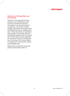#### *Statement on Principal Risks and Uncertainties*

Pursuant to the requirements of the Disclosure and Transparency Rules the Group provides the following information on its principal risks and uncertainties. The Group considers strategic, operational and financial risks and identifies actions to mitigate those risks. These risk profiles are updated at least annually. The principal risks and uncertainties detailed within the Group's 2012 Annual Report remain applicable for the final six months of the financial year. The Group's 2012 Annual Report is available from the Microgen website : www.microgen.com.

Related party transactions during the period are disclosed in Note 13.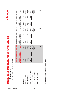| l |             |
|---|-------------|
| j | `^^^^^^^^^^ |

**Jual Till Till**<br>For the six months ended 30 June 2013 *For the six months ended 30 June 2013*

|                                             |      |                                            |                            |                                    |                                                    | Unaudited six months ended 30 Jun 2012 Unaudited six months ended 30 Jun 2012 |                                            |                                                                                | Audited year ended 31 Dec 2012 |                                                                              |
|---------------------------------------------|------|--------------------------------------------|----------------------------|------------------------------------|----------------------------------------------------|-------------------------------------------------------------------------------|--------------------------------------------|--------------------------------------------------------------------------------|--------------------------------|------------------------------------------------------------------------------|
|                                             | Note | mortisation<br>intangible<br><b>Before</b> | amortisation<br>Intangible | Total                              | intangible<br>amortisation<br><b>Before</b>        | Intangible<br>amortisation                                                    | Total                                      | intangible<br>amortisation<br>Before                                           | Intangible<br>amortisation     | Total                                                                        |
|                                             |      | £000                                       | £000                       | £000                               | £000                                               | <b>EOOO</b>                                                                   | <b>EOOO</b>                                | <b>EOOO</b>                                                                    | <b>EOOO</b>                    | <b>E000</b>                                                                  |
| Revenue                                     | 5    |                                            |                            | 14,945                             |                                                    |                                                                               | 17,049                                     | 32,318                                                                         |                                | 32,318                                                                       |
| Operating costs                             |      | 14,945<br>(10,502)                         |                            | (10,502)                           |                                                    | $\begin{array}{c}\n\boxed{69} \\ \boxed{)}\n\end{array}$                      |                                            |                                                                                | (118)                          | $\begin{array}{r} (23,305) \\ 9,013 \\ \hline 174 \\ \hline 187 \end{array}$ |
| Operating profit                            | ഥ    |                                            |                            | $4,443$<br>$67$<br>$67$<br>$4,510$ |                                                    | (59)                                                                          | $\frac{(12,673)}{4,376}$<br>4,376<br>4,376 |                                                                                | (118)                          |                                                                              |
| Finance income                              |      |                                            |                            |                                    |                                                    |                                                                               |                                            |                                                                                |                                |                                                                              |
| Profit before income tax                    |      | $4,443$<br>67<br>67<br>67<br>67            |                            |                                    | 17,049<br>$(12,614)$<br>$4,435$<br>$97$<br>$4,532$ | $\boxed{\frac{69}{69}}$                                                       |                                            | $\begin{array}{r} (23,187) \\ 9,131 \\ \hline 174 \\ \hline 9,305 \end{array}$ | $\frac{1}{(118)}$              |                                                                              |
| Profit for the period<br>Income tax expense | ဖ    |                                            |                            | $\frac{(1,037)}{3,473}$            |                                                    |                                                                               | $\frac{(1,074)}{3,399}$                    |                                                                                |                                | $\frac{(2,238)}{6,949}$                                                      |
| Earnings per share<br>Diluted<br>Basic      | r    |                                            |                            | $rac{4.20}{4.20}$                  |                                                    |                                                                               | $\frac{4.2p}{4.1p}$                        |                                                                                |                                | $rac{6}{100}$                                                                |

All results derive from continuing operations. All results derive from continuing operations.

# microgen

*www.microgen.com*

4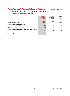microgen

# *Statement Of Comprehensive Income*

*For the six months ended 30 June 2013*

|                                                   | <b>Unaudited</b><br>six months<br>ended | Unaudited<br>six months<br>ended | Audited<br>year<br>ended |
|---------------------------------------------------|-----------------------------------------|----------------------------------|--------------------------|
|                                                   | 30 Jun 2013                             | 30 Jun 2012                      | 31 Dec 2012              |
|                                                   | £000                                    | £000                             | £000                     |
| <b>Profit for the period</b>                      | 3,473                                   | 3,399                            | 6,949                    |
| Other comprehensive income                        |                                         |                                  |                          |
| Cash flow hedges, net of tax                      | (71)                                    | 198                              | 409                      |
| Currency translation difference                   | (23)                                    | (21)                             | 80                       |
| Other comprehensive income for the period, net of |                                         |                                  |                          |
| tax                                               | (94)                                    | 177                              | 489                      |
| Total comprehensive income for the period         | 3.379                                   | 3,576                            | 7,438                    |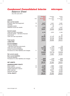# *Balance Sheet*

*As at 30 June 2013*

|                                                                              |      | <b>Unaudited</b><br>as at | Unaudited<br>as at   | Audited<br>as at   |
|------------------------------------------------------------------------------|------|---------------------------|----------------------|--------------------|
|                                                                              | Note | 30 Jun 2013               | 30 Jun 2012          | 31 Dec 2012        |
| <b>ASSETS</b>                                                                |      | £000                      | £000                 | £000               |
| <b>Non-current assets</b>                                                    |      |                           |                      |                    |
| Property, plant and equipment                                                | 10   | 5,277                     | 5,451                | 5,391              |
| Goodwill                                                                     |      | 41,774                    | 41,774               | 41,774             |
| Intangible assets                                                            | 10   |                           | 59                   |                    |
| Deferred income tax assets                                                   |      | 1,016                     | 1,311                | 1,041              |
|                                                                              |      | 48,067                    | 48,595               | 48,206             |
| <b>Current assets</b>                                                        |      |                           |                      |                    |
| Trade and other receivables                                                  |      | 4,178                     | 4,975                | 3,163              |
| Financial assets – derivative financial                                      |      |                           |                      |                    |
| instruments<br>Cash and cash equivalents                                     |      | 51<br>26,783              | 27,125               | 69<br>32,134       |
|                                                                              |      |                           |                      |                    |
|                                                                              |      | 31,012                    | 32,100               | 35,366             |
| <b>Total assets</b>                                                          |      | 79,079                    | 80,695               | 83,572             |
| <b>LIABILITIES</b>                                                           |      |                           |                      |                    |
| <b>Current liabilities</b>                                                   |      |                           |                      |                    |
| <b>Financial liabilities</b>                                                 |      |                           |                      |                    |
| - derivative financial instruments                                           |      | (67)                      | (156)                | (15)               |
| Trade and other payables<br>Current income tax liabilities                   |      | (15, 416)<br>(1, 146)     | (17, 441)<br>(1,015) | (17, 845)<br>(742) |
| Provisions for other liabilities and charges                                 | 11   | (38)                      | (107)                | (42)               |
|                                                                              |      |                           | (18, 719)            | (18, 644)          |
|                                                                              |      | (16, 667)                 |                      |                    |
| Net current assets                                                           |      | 14,345                    | 13,381               | 16,722             |
| <b>Non-current liabilities</b>                                               |      |                           |                      |                    |
| <b>Financial liabilities</b><br>Provisions for other liabilities and charges | 11   |                           | (134)                |                    |
|                                                                              |      | (255)                     |                      | (256)              |
|                                                                              |      | (255)                     | (134)                | (256)              |
| <b>NET ASSETS</b>                                                            |      | 62,157                    | 61,842               | 64,672             |
| <b>SHAREHOLDERS' EQUITY</b>                                                  |      |                           |                      |                    |
| Share capital                                                                | 12   | 4,129                     | 4,083                | 4,078              |
| Share premium account                                                        | 12   | 12,015                    | 11,876               | 11,885             |
| Capital redemption reserve                                                   |      | 1,152                     | 1,146                | 1,152              |
| Other reserves                                                               |      | 36,957                    | 36,817               | 37,028             |
| Retained earnings                                                            |      | 7,904                     | 7,920                | 10,529             |
| <b>TOTAL EQUITY</b>                                                          |      | 62,157                    | 61,842               | 64,672             |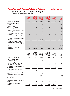# microgen

*Statement Of Changes In Equity*

*For the six months ended 30 June 2013*

|                                                                                                                   | <b>Share</b><br>capital<br>£000 | <b>Share</b><br>premium<br>account<br>£000 | <b>Retained</b><br>earnings<br>£000 | <b>Capital</b><br>redemption<br>reserve<br>£000 | <b>Other</b><br>reserves<br>£000 | <b>Total</b><br>£000 |
|-------------------------------------------------------------------------------------------------------------------|---------------------------------|--------------------------------------------|-------------------------------------|-------------------------------------------------|----------------------------------|----------------------|
| Balance at 1 January 2013                                                                                         | 4,078                           | 11,885                                     | 10,529                              | 1,152                                           | 37,028                           | 64,672               |
| <b>Comprehensive income</b><br>Profit for the period<br>Cash flow hedges<br>- net fair value losses               |                                 |                                            | 3,473                               |                                                 | (71)                             | 3,473<br>(71)        |
| Exchange rate adjustments                                                                                         |                                 |                                            | (23)                                |                                                 |                                  | (23)                 |
| Total comprehensive income for<br>the period<br>Shares issued under share option                                  |                                 |                                            | 3,450                               |                                                 | (71)                             | 3,379                |
| schemes<br>Share options - value of employee<br>service                                                           | 51                              | 130                                        | 33                                  |                                                 |                                  | 181<br>33            |
| Dividends to equity holders of the<br>company                                                                     |                                 |                                            | (6, 108)                            |                                                 |                                  | (6, 108)             |
| <b>Total Contributions by and</b><br>distributions to owners of the<br>company recognised directly into<br>equity | 51                              | 130                                        | (6,075)                             |                                                 |                                  | (5,894)              |
| Balance at 30 June 2013<br>(unaudited)                                                                            | 4,129                           | 12,015                                     | 7,904                               | 1,152                                           | 36,957                           | 62,157               |
|                                                                                                                   |                                 |                                            |                                     |                                                 |                                  |                      |
|                                                                                                                   | Share<br>capital<br>£000        | Share<br>premium<br>account<br>£000        | Retained<br>earnings<br>£000        | Capital<br>redemption<br>reserve<br>£000        | Other<br>reserves<br>£000        | Total<br>£000        |
| Balance at 1 January 2012                                                                                         | 4.069                           | 11,842                                     | 6,299                               | 1,146                                           | 36,619                           | 59,975               |
| <b>Comprehensive income</b><br>Profit for the period<br>Cash flow hedges                                          |                                 |                                            | 3,399                               |                                                 |                                  | 3,399                |
| - net fair value gains net of tax<br>Exchange rate adjustments                                                    |                                 |                                            | L.<br>(21)                          |                                                 | 198                              | 198<br>(21)          |
| Total comprehensive income for<br>the period                                                                      |                                 |                                            | 3,378                               |                                                 | 198                              | 3,576                |
| Shares issued under share option<br>schemes                                                                       | 14                              | 34                                         |                                     |                                                 |                                  | 48                   |
| Share options – value of employee<br>service                                                                      |                                 |                                            | 37                                  |                                                 |                                  | 37                   |
| Dividends to equity holders of the<br>company                                                                     |                                 |                                            | (1, 794)                            |                                                 |                                  | (1,794)              |
| <b>Total Contributions by and</b><br>distributions to owners of the<br>company recognised directly into<br>equity | 14                              | 34                                         | (1,757)                             |                                                 |                                  | (1,709)              |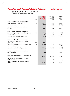# microgen

# *Statements Of Cash Flow*

*For the six months ended 30 June 2013*

|                                                                                                                                                                       | Note    | <b>Unaudited</b><br>as at<br>30 Jun 2013<br>£000 | Unaudited<br>as at<br>30 Jun 2012<br>£000 | Audited<br>as at<br>31 Dec 2012<br>£000 |
|-----------------------------------------------------------------------------------------------------------------------------------------------------------------------|---------|--------------------------------------------------|-------------------------------------------|-----------------------------------------|
| Cash flows from operating activities<br>Cash generated from operations<br>Income tax paid                                                                             | 8       | 1,416<br>(633)                                   | 2,901<br>(827)                            | 10,348<br>(2,023)                       |
| Net cash generated from operating<br>activities                                                                                                                       |         | 783                                              | 2,074                                     | 8,325                                   |
| Cash flows from investing activities<br>Purchase of property, plant and equipment<br>Interest received                                                                | 10      | (282)<br>67                                      | (267)<br>97                               | (624)<br>174                            |
| Net cash used in investing activities                                                                                                                                 |         | (215)                                            | (170)                                     | (450)                                   |
| Cash flows from financing activities<br>Net proceeds from issuance of ordinary<br>share capital<br>Dividends paid to company's shareholders<br>Purchase of own shares | 12<br>9 | 181<br>(6, 108)                                  | 48<br>(1,794)                             | 59<br>(2,691)<br>(146)                  |
| Net cash used in financing activities                                                                                                                                 |         | (5, 927)                                         | (1,746)                                   | (2,778)                                 |
| Net (decrease)/ increase in cash and<br>cash equivalents                                                                                                              |         | (5,359)                                          | 158                                       | 5,097                                   |
| Cash and cash equivalents at beginning of<br>period<br>Exchange rate gains/ (losses) on cash and                                                                      |         | 32,134                                           | 26,971                                    | 26,971                                  |
| cash equivalents                                                                                                                                                      |         | 8                                                | (4)                                       | 66                                      |
| Cash and cash equivalents at end of<br>period                                                                                                                         |         | 26,783                                           | 27,125                                    | 32,134                                  |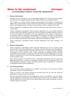#### **1. General information**

Microgen plc (the 'Company') and its subsidiaries (together, the 'Group') provide software and services to the global financial services, digital media and commercial sectors.

The Company is a public limited company incorporated and domiciled in England and Wales with a primary listing on the London Stock Exchange. The address of its registered office is Old Change House, 128 Queen Victoria Street, London, England, EC4V 4BJ.

These condensed consolidated interim financial statements were approved for issue on 19 July 2013.

These condensed consolidated interim financial statements do not comprise statutory accounts within the meaning of section 434 of the Companies Act 2006. Statutory accounts for the year ended 31 December 2012 were approved by the Board of directors on 22 February 2013 and delivered to the Registrar of Companies. The report of the auditors on those accounts was unqualified, did not contain an emphasis of matter paragraph and did not contain any statement under section 498 of the Companies Act 2006.

These condensed consolidated interim financial statements have been reviewed, not audited.

#### **2. Basis of preparation**

These condensed consolidated interim financial statements for the six months ended 30 June 2013 have been prepared in accordance with the Disclosure and Transparency Rules of the Financial Services Authority and with IAS 34, 'Interim financial reporting' as adopted by the European Union. These condensed consolidated interim financial statements should be read in conjunction with the annual financial statements for the year ended 31 December 2012, which have been prepared in accordance with IFRSs as adopted by the European Union.

After making enquiries, the directors have a reasonable expectation that the Group has adequate resources to continue in operational existence for the foreseeable future. The Group therefore continues to adopt the going concern basis in preparing its condensed consolidated interim financial statements.

#### **3. Accounting policies**

The accounting policies adopted are consistent with those of the previous financial statements, except as described below.

Taxes on income in the interim periods are accrued using the tax rate that would be applicable to expected total annual profits.

New and amended standards and interpretations need to be adopted in the first interim financial statements issued after their effective date. There are no new IFRSs or IFRICs that are effective for the first time for this interim period that would be expected to have a material impact on the group.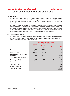#### **4. Estimates**

The preparation of interim financial statements requires management to make judgements, estimates and assumptions that affect the application of accounting policies and the reported amounts of assets, liabilities, income and expense. Actual results may differ from these estimates.

In preparing these condensed consolidated interim financial statements, the significant judgements made by management in applying the group's accounting policies and the key sources of estimation uncertainty were the same as those that applied to the consolidated financial statements for the year ended 31 December 2012, with the exception of changes in estimates that are required in determining the provision for income taxes.

#### **5. Segmental information**

The Board of Microgen plc has been identified as the chief operating decision maker of Microgen. Management has determined the operating segments of the group based on the reports provided to the Board of Microgen plc.

|                                            | <b>Microgen</b>                             | Unaudited six months ended<br>30 Jun 2013  |                      |                      |
|--------------------------------------------|---------------------------------------------|--------------------------------------------|----------------------|----------------------|
|                                            | <b>Aptitude</b><br><b>Solutions</b><br>£000 | <b>Financial</b><br><b>Systems</b><br>£000 | <b>Group</b><br>£000 | <b>Total</b><br>£000 |
| Revenue                                    | 7,376                                       | 7,569                                      |                      | 14,945               |
| Operating costs                            | (5,871)                                     | (3, 498)                                   |                      | (9,369)              |
| Operating profit before group<br>overheads | 1,505                                       | 4,071                                      |                      | 5,576                |
| Unallocated Group overheads                |                                             |                                            | (1, 133)             | (1, 133)             |
| Operating profit/ (loss)                   | 1,505                                       | 4,071                                      | (1, 133)             | 4,443                |
| Finance income                             |                                             |                                            |                      | 67                   |
| Profit before tax                          |                                             |                                            |                      | 4,510                |
| Income tax expense                         |                                             |                                            |                      | (1,037)              |
| Profit for the period                      |                                             |                                            |                      | 3.473                |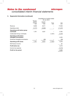#### **5. Segmental information (continued)**

|                                                           | Unaudited six months ended<br>Microgen |                              |               |               |
|-----------------------------------------------------------|----------------------------------------|------------------------------|---------------|---------------|
|                                                           | Aptitude<br>Solutions<br>£000          | Financial<br>Systems<br>£000 | Group<br>£000 | Total<br>£000 |
| Revenue                                                   | 9,038                                  | 8,011                        |               | 17,049        |
| Operating costs                                           | (7, 277)                               | (3,980)                      |               | (11, 257)     |
| Operating profit before group<br>overheads                | 1,761                                  | 4,031                        |               | 5,792         |
| Unallocated Group overheads                               |                                        |                              | (1, 357)      | (1, 357)      |
| <b>Operating profit before</b><br>intangible amortisation |                                        |                              |               | 4,435         |
| Divisional intangible amortisation                        |                                        | (59)                         |               | (59)          |
| Operating profit/ (loss)                                  | 1,761                                  | 3,972                        | (1, 357)      | 4,376         |
| Net finance income                                        |                                        |                              |               | 97            |
| <b>Profit before tax</b>                                  |                                        |                              |               | 4,473         |
| Income tax expense                                        |                                        |                              |               | (1,074)       |
| Profit for the period                                     |                                        |                              |               | 3,399         |
|                                                           |                                        |                              |               |               |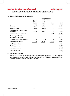#### **5. Segmental information (continued)**

|                                                           | Audited year ended<br>31 Dec 2012<br>Microgen |                              |               |               |  |  |
|-----------------------------------------------------------|-----------------------------------------------|------------------------------|---------------|---------------|--|--|
|                                                           | Aptitude<br>Solutions<br>£000                 | Financial<br>Systems<br>£000 | Group<br>£000 | Total<br>£000 |  |  |
| Revenue                                                   | 16,316                                        | 16,002                       |               | 32,318        |  |  |
| Operating costs                                           | (13, 388)                                     | (7,588)                      |               | (20, 976)     |  |  |
| Operating profit before group<br>overheads                | 2,928                                         | 8,414                        |               | 11,342        |  |  |
| Unallocated Group overheads                               |                                               |                              | (2,211)       | (2, 211)      |  |  |
| <b>Operating profit before</b><br>intangible amortisation |                                               |                              |               | 9,131         |  |  |
| Divisional intangible amortisation                        |                                               | (118)                        |               | (118)         |  |  |
| Operating profit/ (loss)                                  | 2,928                                         | 8,296                        | (2, 211)      | 9,013         |  |  |
| Net finance income                                        |                                               |                              |               | 174           |  |  |
| <b>Profit before tax</b>                                  |                                               |                              |               | 9,187         |  |  |
| Income tax expense                                        |                                               |                              |               | (2, 238)      |  |  |
| Profit for the year                                       |                                               |                              |               | 6,949         |  |  |
|                                                           |                                               |                              |               |               |  |  |

#### **6. Income tax expense**

Income tax expense is recognised based on management's estimate of the weighted average income tax rate expected for the full financial year of 23% (the estimated tax rate for the six months ended 30 June 2012 was 24%).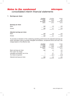#### **7. Earnings per share**

|                             | <b>Unaudited</b> | Unaudited   | Audited     |
|-----------------------------|------------------|-------------|-------------|
|                             | six months       | six months  | year        |
|                             | ended            | ended       | ended       |
|                             | 30 Jun 2013      | 30 Jun 2012 | 31 Dec 2012 |
|                             | pence            | pence       | pence       |
| <b>Earnings per share</b>   |                  |             |             |
| Basic                       | 4.2              | 4.2         | 8.5         |
| <b>Diluted</b>              | 4.2              | 4.1         | 8.3         |
|                             |                  |             |             |
| Adjusted earnings per share |                  |             |             |
| Basic                       | 4.2              | 4.2         | 8.5         |
| <b>Diluted</b>              | 4.2              | 4.1         | 8.3         |

To provide an indication of the underlying operating performance the adjusted earnings per share calculation above excludes intangible amortisation, exceptional items and has a tax charge based on the effective rate.

|                                    | Unaudited<br>six months<br>ended<br>30 Jun 2013<br>pence | Unaudited<br>six months<br>ended<br>30 Jun 2012<br>pence | Audited<br>year<br>ended<br>31 Dec 2012<br>pence |
|------------------------------------|----------------------------------------------------------|----------------------------------------------------------|--------------------------------------------------|
| Basic earnings per share           | 4.2                                                      | 4.2                                                      | 8.5                                              |
| Prior years' tax charge            |                                                          |                                                          | $0.2^{\circ}$                                    |
| Intangible amortisation net of tax |                                                          | 0.1                                                      | 0.1                                              |
| Tax losses recognised              |                                                          | (0.1)                                                    | (0.3)                                            |
| Adjusted earnings per share        | 4.2                                                      | 4.2                                                      | 8.5                                              |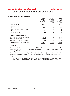#### **8. Cash generated from operations**

| <b>Profit before tax</b><br>4,510<br>4,473<br>Adjustments for:<br>389<br>Depreciation<br>337 |          |
|----------------------------------------------------------------------------------------------|----------|
|                                                                                              | 9,187    |
|                                                                                              |          |
|                                                                                              | 788      |
| Amortisation of intangible assets<br>59                                                      | 118      |
| Share-based payment expense<br>33<br>34                                                      | 61       |
| Finance income<br>(67)<br>(97)                                                               | (174)    |
| Changes in working capital:                                                                  |          |
| (Increase)/ decrease in receivables<br>(1,015)<br>636                                        | 2,448    |
| (Decrease) in payables<br>(2, 429)<br>(2,540)                                                | (2, 136) |
| (Decrease)/ increase in provisions<br>(5)<br>(1)                                             | 56       |
| Cash generated from operations<br>1,416<br>2,901                                             | 10,348   |

#### **9. Dividends**

The interim dividend of 1.1 pence per share (2012: 1.1 pence per share) was approved by the Board on 19 July 2013. It is payable on 23 August 2013 to shareholders on the register at 2 August 2013.

This interim dividend, amounting to £908,000 (2012: £898,000), has not been included as a liability in this interim financial information. It will be recognised in shareholders' equity in the year to 31 December 2013.

For the year to 31 December 2012, the final dividend amounting to £1,816,000 (2011: £1,794,000) and a special dividend of £4,292,000 (2011: nil) were paid in May 2013.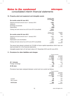#### microgen *Notes to the condensed consolidated interim financial statements*

#### **10. Property, plant and equipment and intangible assets**

| Six months ended 30 June 2013                             | Property, plant<br>and equipment<br>£000 |                              |
|-----------------------------------------------------------|------------------------------------------|------------------------------|
| Opening net book amount as at 1 January 2013<br>Additions | 5.391<br>282                             |                              |
| Exchange movements<br>Depreciation                        | (7)<br>(389)                             |                              |
| Closing net book amount as at 30 June 2013 (unaudited)    | 5.277                                    |                              |
| Six months ended 30 June 2012                             | Property, plant<br>and equipment<br>£000 | Intangible<br>Assets<br>£000 |
| Opening net book amount as at 1 January 2012              | 5.521                                    | 118                          |
| Additions                                                 | 267                                      |                              |
| Depreciation and amortisation                             | (337)                                    | (59)                         |
| Closing net book amount as at 30 June 2012 (unaudited)    | 5.451                                    | 59                           |

The group have placed contracts for £15,000 of future capital expenditure which have not been provided for in the financial statements.

Intangible assets had a nil net book value at 31 December 2012 and 30 June 2013.

#### **11. Provisions for other liabilities and charges**

|                                  |                                                                | Property provision                                      |  |
|----------------------------------|----------------------------------------------------------------|---------------------------------------------------------|--|
|                                  | <b>Unaudited</b><br>six months<br>ended<br>30 Jun 2013<br>£000 | Unaudited<br>six months<br>ended<br>30 Jun 2012<br>£000 |  |
| At 1 January<br>Foreign exchange | 298<br>(5)                                                     | 242<br>(1)                                              |  |
| At 30 June                       | 293                                                            | 241                                                     |  |

Provisions have been analysed between current and non-current as follows:

|             |                                                                | Property provision                                      |  |
|-------------|----------------------------------------------------------------|---------------------------------------------------------|--|
|             | <b>Unaudited</b><br>six months<br>ended<br>30 Jun 2013<br>£000 | Unaudited<br>six months<br>ended<br>30 Jun 2012<br>£000 |  |
| Current     | 38                                                             | 107                                                     |  |
| Non-current | 255                                                            | 134                                                     |  |
| At 30 June  | 293                                                            | 241                                                     |  |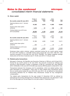#### **12. Share capital**

| Six months ended 30 June 2013                     | Number of<br>shares<br>(thousands) | Ordinary<br>shares<br>£000 | Share<br>premium<br>£000 | Total<br>£000 |
|---------------------------------------------------|------------------------------------|----------------------------|--------------------------|---------------|
| Opening balance as at 1 January<br>2013           | 81,582                             | 4,078                      | 11,885                   | 15,963        |
| Issued under share option<br>schemes              | 1,010                              | 51                         | 130                      | 181           |
| Closing balance as at 30 June<br>2013 (unaudited) | 82,592                             | 4,129                      | 12,015                   | 16,144        |
| Six months ended 30 June 2012                     | Number of<br>shares<br>(thousands) | Ordinary<br>shares<br>£000 | Share<br>premium<br>£000 | Total<br>£000 |
| Opening balance as at 1 January<br>2012           | 81,396                             | 4,069                      | 11,842                   | 15,911        |
| Issued under share option<br>schemes              | 283                                | 14                         | 34                       | 48            |
| Closing balance as at 30 June<br>2012 (unaudited) | 81,679                             | 4.083                      | 11,876                   | 15,959        |

Employee share option scheme: options exercised during the six month period ended 30 June 2013 resulted in 1,010,060 shares being issued (30 June 2012: 282,701), with exercise proceeds of £181,000 (30 June 2012: £48,000). The related weighted average share price at the time of exercise was £1.19 (30 June 2012: £1.43) per share.

#### **13. Related party transactions**

Microgen's Chairman, Mr Ratcliffe was Executive Chairman of RM plc until 30 April 2013. During the six month period to 30 June 2013, the amounts invoiced for software and services to RM Education Limited, a subsidiary of RM plc, excluding VAT, were £68,000 (2012: £258,000). At 30 June 2013 £44,000 was owed by RM Education Limited (2012: £nil).

Transactions between the Company and its subsidiaries, which are related parties, have been eliminated on consolidation. There were no other related party transactions during the six month period ended 30 June 2013 (30 June 2012: nil), as defined by International Accounting Standard No 24 'Related Party Disclosures' except for key management compensation.

The related party transactions for the year ended 31 December 2012 as defined by International Accounting Standard No 24 'Related Party Disclosures' are disclosed in note 28 of the Microgen plc Annual Report for the year ended 31 December 2012.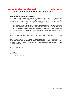#### **14. Statement of directors' responsibilities**

The directors confirm that these condensed interim financial statements have been prepared in accordance with International Accounting Standard 34, 'Interim Financial Reporting', as adopted by the European Union and that the interim management report includes a fair review of the information required by DTR 4.2.7 and DTR 4.2.8, namely:

- an indication of important events that have occurred during the first six months and their impact on the condensed set of financial statements, and a description of the principal risks and uncertainties for the remaining six months of the financial year; and
- material related-party transactions in the first six months and any material changes in the related-party transactions described in the last annual report.

The directors of Microgen plc are listed in the Microgen plc Annual Report for 31 December 2012. A list of current directors is maintained on the Microgen plc website: www.microgen. com

Copies of this statement are being posted to shareholders and will also be available on the investor relations page of our website (www.microgen.com). Further copies are available from the Company Secretary at Old Change House, 128 Queen Victoria Street, London, England, EC4V 4BJ.

By order of the Board

#### **P Wood**

19 July 2013 Group Finance Director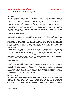# *Independent review report to Microgen plc*

#### **Introduction**

We have been engaged by the company to review the condensed consolidated interim financial statements in the half-yearly financial report for the six months ended 30 June 2013, which comprises the condensed consolidated interim income statement, condensed consolidated interim statement of comprehensive income, condensed consolidated interim balance sheet, condensed consolidated interim statement of changes in equity, condensed consolidated interim statements of cash flow and related notes. We have read the other information contained in the half-yearly financial report and considered whether it contains any apparent misstatements or material inconsistencies with the information in the condensed consolidated interim financial statements.

#### **Directors' responsibilities**

The half-yearly financial report is the responsibility of, and has been approved by, the directors. The directors are responsible for preparing the half-yearly financial report in accordance with the Disclosure and Transparency Rules of the United Kingdom's Financial Conduct Authority.

As disclosed in note 2, the annual financial statements of the group are prepared in accordance with IFRSs as adopted by the European Union. The condensed consolidated interim financial statements included in this half-yearly financial report has been prepared in accordance with International Accounting Standard 34, "Interim Financial Reporting", as adopted by the European Union.

The maintenance and integrity of the Microgen plc website is the responsibility of the directors; the work carried out by the auditors does not involve consideration of these matters and, accordingly, the auditors accept no responsibility for any changes that may have occurred to the financial statements since they were initially presented on the website.

Legislation in the United Kingdom governing the preparation and dissemination of financial statements may differ from legislation in other jurisdictions.

#### **Our responsibility**

Our responsibility is to express to the company a conclusion on the condensed consolidated interim financial statements in the half-yearly financial report based on our review. This report, including the conclusion, has been prepared for and only for the company for the purpose of the Disclosure and Transparency Rules of the Financial Conduct Authority and for no other purpose. We do not, in producing this report, accept or assume responsibility for any other purpose or to any other person to whom this report is shown or into whose hands it may come save where expressly agreed by our prior consent in writing.

#### **Scope of review**

We conducted our review in accordance with International Standard on Review Engagements (UK and Ireland) 2410, 'Review of Interim Financial Information Performed by the Independent Auditor of the Entity' issued by the Auditing Practices Board for use in the United Kingdom. A review of interim financial information consists of making enquiries, primarily of persons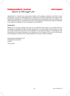# *Independent review report to Microgen plc*

responsible for financial and accounting matters, and applying analytical and other review procedures. A review is substantially less in scope than an audit conducted in accordance with International Standards on Auditing (UK and Ireland) and consequently does not enable us to obtain assurance that we would become aware of all significant matters that might be identified in an audit. Accordingly, we do not express an audit opinion.

#### **Conclusion**

Based on our review, nothing has come to our attention that causes us to believe that the condensed consolidated interim financial statements in the half-yearly financial report for the six months ended 30 June 2013 is not prepared, in all material respects, in accordance with International Accounting Standard 34 as adopted by the European Union and the Disclosure and Transparency Rules of the United Kingdom's Financial Conduct Authority.

PricewaterhouseCoopers LLP Chartered Accountants London

19 July 2013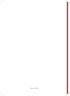imprima – c108574